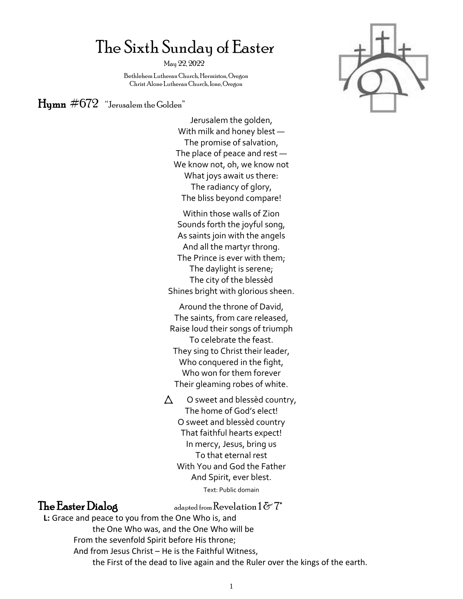# The Sixth Sunday of Easter

May 22, 2022

 Bethlehem Lutheran Church, Hermiston, Oregon Christ Alone Lutheran Church, Ione, Oregon

## $\text{Human}$  #672 "Jerusalem the Golden"

Jerusalem the golden, With milk and honey blest — The promise of salvation, The place of peace and rest — We know not, oh, we know not What joys await us there: The radiancy of glory, The bliss beyond compare!

Within those walls of Zion Sounds forth the joyful song, As saints join with the angels And all the martyr throng. The Prince is ever with them; The daylight is serene; The city of the blessèd Shines bright with glorious sheen.

Around the throne of David, The saints, from care released, Raise loud their songs of triumph To celebrate the feast. They sing to Christ their leader, Who conquered in the fight, Who won for them forever Their gleaming robes of white.

 $\triangle$  O sweet and blessèd country, The home of God's elect! O sweet and blessèd country That faithful hearts expect! In mercy, Jesus, bring us To that eternal rest With You and God the Father And Spirit, ever blest. Text: Public domain

**The Easter Dialog** adapted from Revelation  $1 \& 7^*$ 

**L:** Grace and peace to you from the One Who is, and the One Who was, and the One Who will be From the sevenfold Spirit before His throne; And from Jesus Christ – He is the Faithful Witness, the First of the dead to live again and the Ruler over the kings of the earth.

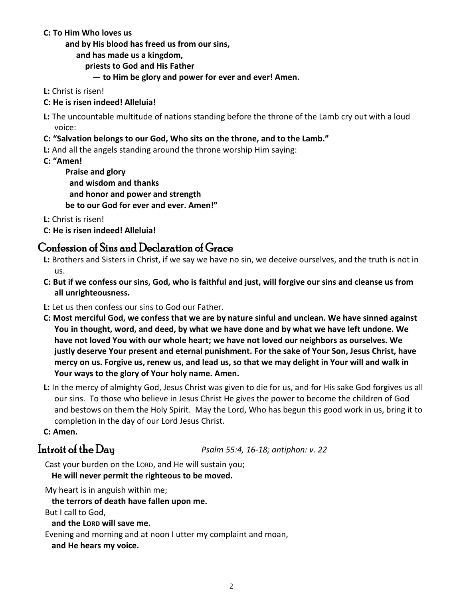#### **C: To Him Who loves us**

**and by His blood has freed us from our sins,**

**and has made us a kingdom,** 

 **priests to God and His Father** 

**— to Him be glory and power for ever and ever! Amen.**

- **L:** Christ is risen!
- **C: He is risen indeed! Alleluia!**

**L:** The uncountable multitude of nations standing before the throne of the Lamb cry out with a loud voice:

### **C: "Salvation belongs to our God, Who sits on the throne, and to the Lamb."**

**L:** And all the angels standing around the throne worship Him saying:

**C: "Amen!** 

**Praise and glory and wisdom and thanks and honor and power and strength be to our God for ever and ever. Amen!"**

**L:** Christ is risen!

**C: He is risen indeed! Alleluia!**

## Confession of Sins and Declaration of Grace

- **L:** Brothers and Sisters in Christ, if we say we have no sin, we deceive ourselves, and the truth is not in us.
- **C: But if we confess our sins, God, who is faithful and just, will forgive our sins and cleanse us from all unrighteousness.**
- **L:** Let us then confess our sins to God our Father.
- **C: Most merciful God, we confess that we are by nature sinful and unclean. We have sinned against You in thought, word, and deed, by what we have done and by what we have left undone. We have not loved You with our whole heart; we have not loved our neighbors as ourselves. We justly deserve Your present and eternal punishment. For the sake of Your Son, Jesus Christ, have mercy on us. Forgive us, renew us, and lead us, so that we may delight in Your will and walk in Your ways to the glory of Your holy name. Amen.**
- **L:** In the mercy of almighty God, Jesus Christ was given to die for us, and for His sake God forgives us all our sins. To those who believe in Jesus Christ He gives the power to become the children of God and bestows on them the Holy Spirit. May the Lord, Who has begun this good work in us, bring it to completion in the day of our Lord Jesus Christ.

**C: Amen.**

Introit of the Day *Psalm 55:4, 16-18; antiphon: v. 22*

Cast your burden on the LORD, and He will sustain you;

**He will never permit the righteous to be moved.**

My heart is in anguish within me;

**the terrors of death have fallen upon me.**

But I call to God,

**and the LORD will save me.**

Evening and morning and at noon I utter my complaint and moan,

**and He hears my voice.**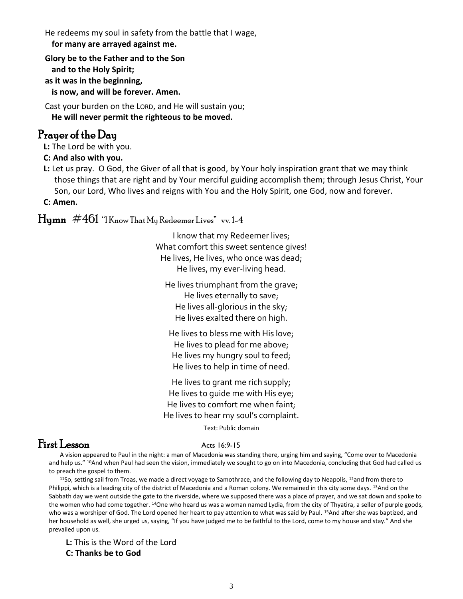He redeems my soul in safety from the battle that I wage,

**for many are arrayed against me.**

**Glory be to the Father and to the Son and to the Holy Spirit; as it was in the beginning, is now, and will be forever. Amen.**

Cast your burden on the LORD, and He will sustain you; **He will never permit the righteous to be moved.**

## Prayer of the Day

**L:** The Lord be with you.

#### **C: And also with you.**

**L:** Let us pray. O God, the Giver of all that is good, by Your holy inspiration grant that we may think those things that are right and by Your merciful guiding accomplish them; through Jesus Christ, Your Son, our Lord, Who lives and reigns with You and the Holy Spirit, one God, now and forever.

**C: Amen.**

## $H_{\text{Y}}$  #461 "I Know That My Redeemer Lives" vv. 1-4

I know that my Redeemer lives; What comfort this sweet sentence gives! He lives, He lives, who once was dead; He lives, my ever-living head.

He lives triumphant from the grave; He lives eternally to save; He lives all-glorious in the sky; He lives exalted there on high.

He lives to bless me with His love; He lives to plead for me above; He lives my hungry soul to feed; He lives to help in time of need.

He lives to grant me rich supply; He lives to guide me with His eye; He lives to comfort me when faint; He lives to hear my soul's complaint.

Text: Public domain

## $First Lesson$  Acts 16:9-15

A vision appeared to Paul in the night: a man of Macedonia was standing there, urging him and saying, "Come over to Macedonia and help us." <sup>10</sup>And when Paul had seen the vision, immediately we sought to go on into Macedonia, concluding that God had called us to preach the gospel to them.

<sup>11</sup>So, setting sail from Troas, we made a direct voyage to Samothrace, and the following day to Neapolis, <sup>12</sup>and from there to Philippi, which is a leading city of the district of Macedonia and a Roman colony. We remained in this city some days. 13And on the Sabbath day we went outside the gate to the riverside, where we supposed there was a place of prayer, and we sat down and spoke to the women who had come together. <sup>14</sup>One who heard us was a woman named Lydia, from the city of Thyatira, a seller of purple goods, who was a worshiper of God. The Lord opened her heart to pay attention to what was said by Paul. <sup>15</sup>And after she was baptized, and her household as well, she urged us, saying, "If you have judged me to be faithful to the Lord, come to my house and stay." And she prevailed upon us.

**L:** This is the Word of the Lord

**C: Thanks be to God**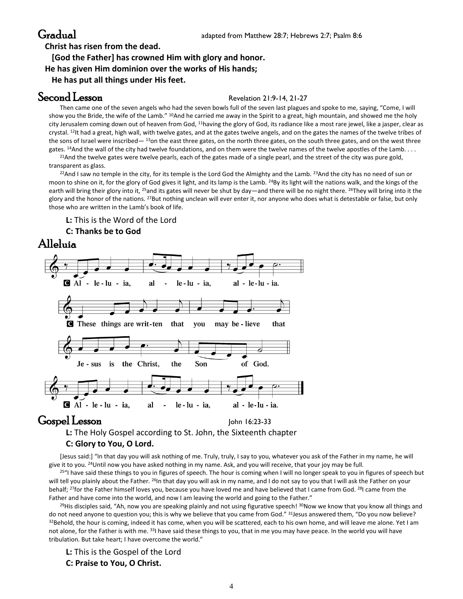**Christ has risen from the dead.**

## **[God the Father] has crowned Him with glory and honor.**

**He has given Him dominion over the works of His hands;**

**He has put all things under His feet.**

## Second Lesson Revelation 21:9-14, 21-27

Then came one of the seven angels who had the seven bowls full of the seven last plagues and spoke to me, saying, "Come, I will show you the Bride, the wife of the Lamb." <sup>10</sup>And he carried me away in the Spirit to a great, high mountain, and showed me the holy city Jerusalem coming down out of heaven from God, <sup>11</sup>having the glory of God, its radiance like a most rare jewel, like a jasper, clear as crystal. <sup>12</sup>It had a great, high wall, with twelve gates, and at the gates twelve angels, and on the gates the names of the twelve tribes of the sons of Israel were inscribed— 13on the east three gates, on the north three gates, on the south three gates, and on the west three gates. <sup>14</sup>And the wall of the city had twelve foundations, and on them were the twelve names of the twelve apostles of the Lamb....

<sup>21</sup>And the twelve gates were twelve pearls, each of the gates made of a single pearl, and the street of the city was pure gold, transparent as glass.

 $22$ And I saw no temple in the city, for its temple is the Lord God the Almighty and the Lamb.  $23$ And the city has no need of sun or moon to shine on it, for the glory of God gives it light, and its lamp is the Lamb. <sup>24</sup>By its light will the nations walk, and the kings of the earth will bring their glory into it, <sup>25</sup>and its gates will never be shut by day—and there will be no night there. <sup>26</sup>They will bring into it the glory and the honor of the nations. <sup>27</sup>But nothing unclean will ever enter it, nor anyone who does what is detestable or false, but only those who are written in the Lamb's book of life.

#### **L:** This is the Word of the Lord

#### **C: Thanks be to God**





## Gospel Lesson John 16:23-33

**L:** The Holy Gospel according to St. John, the Sixteenth chapter

#### **C: Glory to You, O Lord.**

[Jesus said:] "In that day you will ask nothing of me. Truly, truly, I say to you, whatever you ask of the Father in my name, he will give it to you. <sup>24</sup>Until now you have asked nothing in my name. Ask, and you will receive, that your joy may be full.

 $25$ "I have said these things to you in figures of speech. The hour is coming when I will no longer speak to you in figures of speech but will tell you plainly about the Father. <sup>26</sup>In that day you will ask in my name, and I do not say to you that I will ask the Father on your behalf; <sup>27</sup>for the Father himself loves you, because you have loved me and have believed that I came from God. <sup>28</sup>I came from the Father and have come into the world, and now I am leaving the world and going to the Father."

 $^{29}$ His disciples said, "Ah, now you are speaking plainly and not using figurative speech!  $^{30}$ Now we know that you know all things and do not need anyone to question you; this is why we believe that you came from God." <sup>31</sup>Jesus answered them, "Do you now believe? 32Behold, the hour is coming, indeed it has come, when you will be scattered, each to his own home, and will leave me alone. Yet I am not alone, for the Father is with me. 331 have said these things to you, that in me you may have peace. In the world you will have tribulation. But take heart; I have overcome the world."

**L:** This is the Gospel of the Lord

#### **C: Praise to You, O Christ.**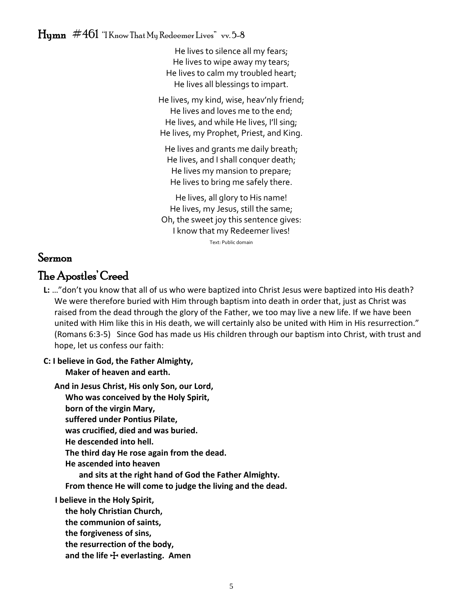## $\rm H_{\rm U}$ mn  $\#461$  "I Know That My Redeemer Lives" vv. 5-8

He lives to silence all my fears; He lives to wipe away my tears; He lives to calm my troubled heart; He lives all blessings to impart.

He lives, my kind, wise, heav'nly friend; He lives and loves me to the end; He lives, and while He lives, I'll sing; He lives, my Prophet, Priest, and King.

He lives and grants me daily breath; He lives, and I shall conquer death; He lives my mansion to prepare; He lives to bring me safely there.

He lives, all glory to His name! He lives, my Jesus, still the same; Oh, the sweet joy this sentence gives: I know that my Redeemer lives!

Text: Public domain

## Sermon

## The Apostles' Creed

**L:** …"don't you know that all of us who were baptized into Christ Jesus were baptized into His death? We were therefore buried with Him through baptism into death in order that, just as Christ was raised from the dead through the glory of the Father, we too may live a new life. If we have been united with Him like this in His death, we will certainly also be united with Him in His resurrection." (Romans 6:3-5) Since God has made us His children through our baptism into Christ, with trust and hope, let us confess our faith:

#### **C: I believe in God, the Father Almighty, Maker of heaven and earth.**

**And in Jesus Christ, His only Son, our Lord,**

**Who was conceived by the Holy Spirit,**

**born of the virgin Mary,**

**suffered under Pontius Pilate,**

**was crucified, died and was buried.**

**He descended into hell.**

**The third day He rose again from the dead.**

**He ascended into heaven**

**and sits at the right hand of God the Father Almighty.**

**From thence He will come to judge the living and the dead.**

**I believe in the Holy Spirit,**

**the holy Christian Church,** 

- **the communion of saints,**
- **the forgiveness of sins,**
- **the resurrection of the body,**

**and the life** T **everlasting. Amen**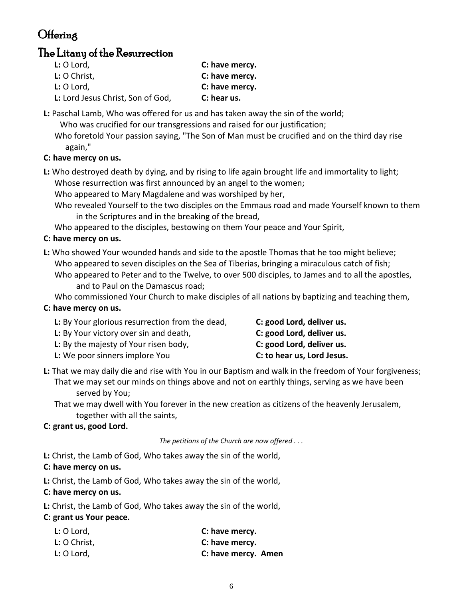## **Offering**

## The Litany of the Resurrection

| $L: O$ Lord,                      | C: have mercy. |
|-----------------------------------|----------------|
| L: O Christ,                      | C: have mercy. |
| $L: O$ Lord,                      | C: have mercy. |
| L: Lord Jesus Christ, Son of God, | C: hear us.    |

**L:** Paschal Lamb, Who was offered for us and has taken away the sin of the world;

Who was crucified for our transgressions and raised for our justification;

Who foretold Your passion saying, "The Son of Man must be crucified and on the third day rise again,"

### **C: have mercy on us.**

**L:** Who destroyed death by dying, and by rising to life again brought life and immortality to light; Whose resurrection was first announced by an angel to the women;

Who appeared to Mary Magdalene and was worshiped by her,

Who revealed Yourself to the two disciples on the Emmaus road and made Yourself known to them in the Scriptures and in the breaking of the bread,

Who appeared to the disciples, bestowing on them Your peace and Your Spirit,

### **C: have mercy on us.**

**L:** Who showed Your wounded hands and side to the apostle Thomas that he too might believe; Who appeared to seven disciples on the Sea of Tiberias, bringing a miraculous catch of fish;

Who appeared to Peter and to the Twelve, to over 500 disciples, to James and to all the apostles, and to Paul on the Damascus road;

Who commissioned Your Church to make disciples of all nations by baptizing and teaching them,

## **C: have mercy on us.**

| L: By Your glorious resurrection from the dead, | C: good Lord, deliver us.  |
|-------------------------------------------------|----------------------------|
| L: By Your victory over sin and death,          | C: good Lord, deliver us.  |
| <b>L:</b> By the majesty of Your risen body,    | C: good Lord, deliver us.  |
| L: We poor sinners implore You                  | C: to hear us, Lord Jesus. |

**L:** That we may daily die and rise with You in our Baptism and walk in the freedom of Your forgiveness; That we may set our minds on things above and not on earthly things, serving as we have been served by You;

That we may dwell with You forever in the new creation as citizens of the heavenly Jerusalem, together with all the saints,

### **C: grant us, good Lord.**

*The petitions of the Church are now offered . . .*

**L:** Christ, the Lamb of God, Who takes away the sin of the world,

### **C: have mercy on us.**

**L:** Christ, the Lamb of God, Who takes away the sin of the world,

### **C: have mercy on us.**

**L:** Christ, the Lamb of God, Who takes away the sin of the world,

### **C: grant us Your peace.**

| $L: O$ Lord, | C: have mercy.      |
|--------------|---------------------|
| L: O Christ, | C: have mercy.      |
| $L: O$ Lord, | C: have mercy. Amen |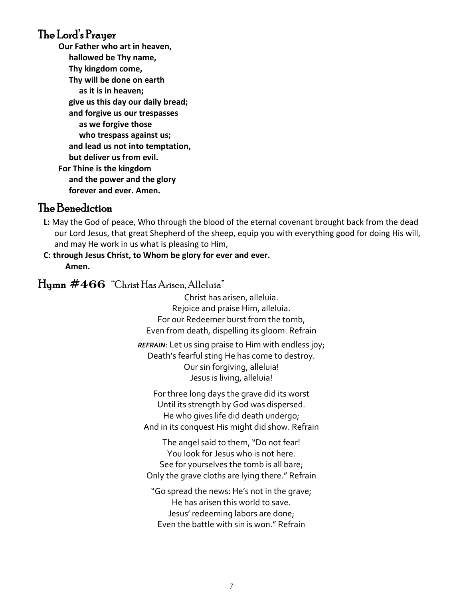## The Lord's Prayer

**Our Father who art in heaven, hallowed be Thy name, Thy kingdom come, Thy will be done on earth as it is in heaven; give us this day our daily bread; and forgive us our trespasses as we forgive those who trespass against us; and lead us not into temptation, but deliver us from evil. For Thine is the kingdom and the power and the glory forever and ever. Amen.**

## The Benediction

**L:** May the God of peace, Who through the blood of the eternal covenant brought back from the dead our Lord Jesus, that great Shepherd of the sheep, equip you with everything good for doing His will, and may He work in us what is pleasing to Him,

### **C: through Jesus Christ, to Whom be glory for ever and ever. Amen.**

## Hymn #**466** "Christ Has Arisen, Alleluia"

Christ has arisen, alleluia. Rejoice and praise Him, alleluia. For our Redeemer burst from the tomb, Even from death, dispelling its gloom. Refrain

*REFRAIN*: Let us sing praise to Him with endless joy; Death's fearful sting He has come to destroy. Our sin forgiving, alleluia! Jesus is living, alleluia!

For three long days the grave did its worst Until its strength by God was dispersed. He who gives life did death undergo; And in its conquest His might did show. Refrain

The angel said to them, "Do not fear! You look for Jesus who is not here. See for yourselves the tomb is all bare; Only the grave cloths are lying there." Refrain

"Go spread the news: He's not in the grave; He has arisen this world to save. Jesus' redeeming labors are done; Even the battle with sin is won." Refrain